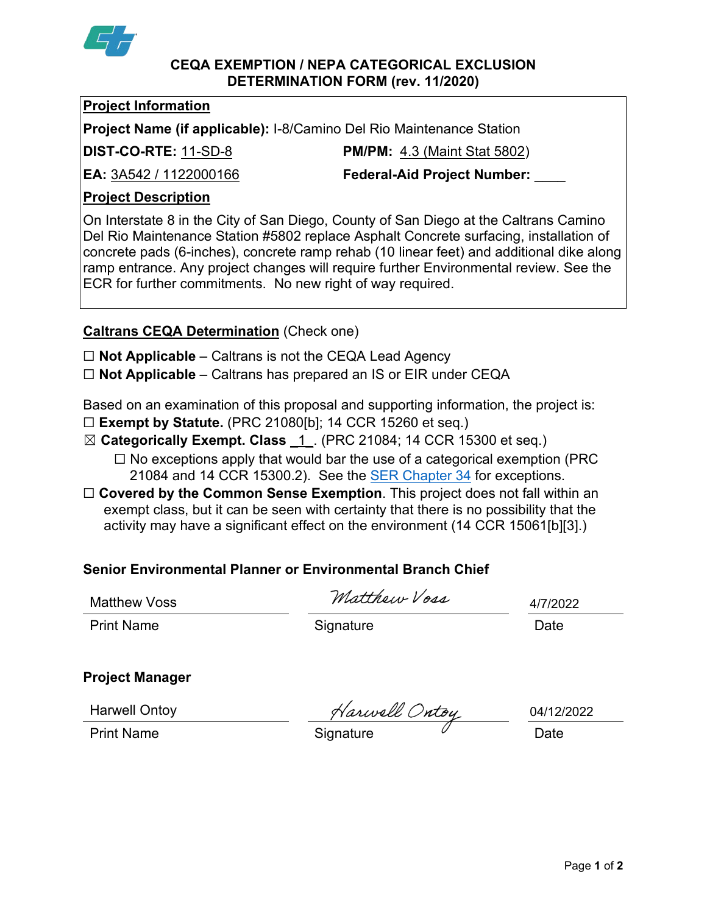

#### **CEQA EXEMPTION / NEPA CATEGORICAL EXCLUSION DETERMINATION FORM (rev. 11/2020)**

## **Project Information**

**Project Name (if applicable):** I-8/Camino Del Rio Maintenance Station

**DIST-CO-RTE:** 11-SD-8 **PM/PM:** 4.3 (Maint Stat 5802)

**EA:** 3A542 / 1122000166 **Federal-Aid Project Number:** \_\_\_\_

# **Project Description**

On Interstate 8 in the City of San Diego, County of San Diego at the Caltrans Camino Del Rio Maintenance Station #5802 replace Asphalt Concrete surfacing, installation of concrete pads (6-inches), concrete ramp rehab (10 linear feet) and additional dike along ramp entrance. Any project changes will require further Environmental review. See the ECR for further commitments. No new right of way required.

# **Caltrans CEQA Determination** (Check one)

☐ **Not Applicable** – Caltrans is not the CEQA Lead Agency

☐ **Not Applicable** – Caltrans has prepared an IS or EIR under CEQA

Based on an examination of this proposal and supporting information, the project is:

- ☐ **Exempt by Statute.** (PRC 21080[b]; 14 CCR 15260 et seq.)
- ☒ **Categorically Exempt. Class** \_1\_. (PRC 21084; 14 CCR 15300 et seq.)
	- $\Box$  No exceptions apply that would bar the use of a categorical exemption (PRC 21084 and 14 CCR 15300.2). See the **SER Chapter 34** for exceptions.
- □ **Covered by the Common Sense Exemption**. This project does not fall within an exempt class, but it can be seen with certainty that there is no possibility that the activity may have a significant effect on the environment (14 CCR 15061[b][3].)

# **Senior Environmental Planner or Environmental Branch Chief**

Matthew Voss

Matthew Voss

4/7/2022

Print Name **Signature Constant Construction** Constant Construction Construction Constant Constant Construction Constant Constant Construction Constant Constant Constant Construction Constant Constant Constant Constant Co

# **Project Manager**

Harwell Ontoy

Harwell Ontoy<br>Print Name **Signature** Signature Date

04/12/2022

Page **1** of **2**